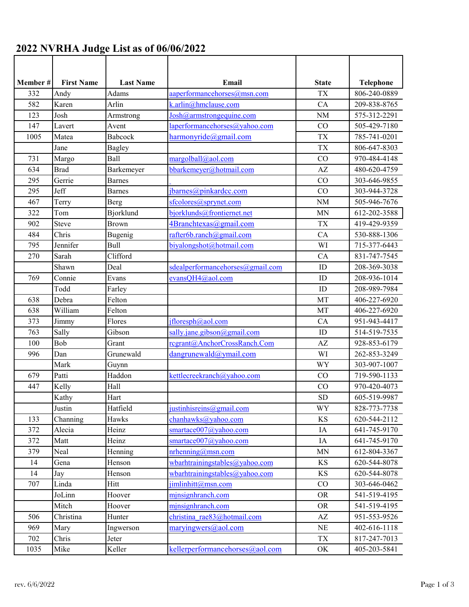| Member # | <b>First Name</b> | <b>Last Name</b> | Email                                    | <b>State</b> | <b>Telephone</b> |
|----------|-------------------|------------------|------------------------------------------|--------------|------------------|
| 332      | Andy              | Adams            | aaperformancehorses@msn.com              | <b>TX</b>    | 806-240-0889     |
| 582      | Karen             | Arlin            | k.arlin@hmclause.com                     | CA           | 209-838-8765     |
| 123      | Josh              | Armstrong        | Josh@armstrongequine.com                 | <b>NM</b>    | 575-312-2291     |
| 147      | Lavert            | Avent            | laperformancehorses@yahoo.com            | CO           | 505-429-7180     |
| 1005     | Matea             | Babcock          | harmonyride@gmail.com                    | <b>TX</b>    | 785-741-0201     |
|          | Jane              | <b>Bagley</b>    |                                          | <b>TX</b>    | 806-647-8303     |
| 731      | Margo             | Ball             | margolball@aol.com                       | CO           | 970-484-4148     |
| 634      | <b>Brad</b>       | Barkemeyer       | bbarkemeyer@hotmail.com                  | AZ           | 480-620-4759     |
| 295      | Gerrie            | <b>Barnes</b>    |                                          | CO           | 303-646-9855     |
| 295      | Jeff              | <b>Barnes</b>    | jbarnes@pinkardcc.com                    | CO           | 303-944-3728     |
| 467      | Terry             | Berg             | sfcolores@sprynet.com                    | <b>NM</b>    | 505-946-7676     |
| 322      | Tom               | Bjorklund        | bjorklunds@frontiernet.net               | MN           | 612-202-3588     |
| 902      | <b>Steve</b>      | Brown            | 4Branchtexas@gmail.com                   | <b>TX</b>    | 419-429-9359     |
| 484      | Chris             | Bugenig          | rafter6b.ranch@gmail.com                 | CA           | 530-888-1306     |
| 795      | Jennifer          | <b>Bull</b>      | biyalongshot@hotmail.com                 | WI           | 715-377-6443     |
| 270      | Sarah             | Clifford         |                                          | CA           | 831-747-7545     |
|          | Shawn             | Deal             | sdealperformancehorses@gmail.com         | ID           | 208-369-3038     |
| 769      | Connie            | Evans            | evansQH4@aol.com                         | ID           | 208-936-1014     |
|          | Todd              | Farley           |                                          | ID           | 208-989-7984     |
| 638      | Debra             | Felton           |                                          | MT           | 406-227-6920     |
| 638      | William           | Felton           |                                          | MT           | 406-227-6920     |
| 373      | Jimmy             | Flores           | ifloresph@aol.com                        | CA           | 951-943-4417     |
| 763      | Sally             | Gibson           | sally.jane.gibson@gmail.com              | ID           | 514-519-7535     |
| 100      | Bob               | Grant            | regrant@AnchorCrossRanch.Com             | AZ           | 928-853-6179     |
| 996      | Dan               | Grunewald        | dangrunewald@ymail.com                   | WI           | 262-853-3249     |
|          | Mark              | Guynn            |                                          | <b>WY</b>    | 303-907-1007     |
| 679      | Patti             | Haddon           | kettlecreekranch@yahoo.com               | CO           | 719-590-1133     |
| 447      | Kelly             | Hall             |                                          | CO           | 970-420-4073     |
|          | Kathy             | Hart             |                                          | <b>SD</b>    | 605-519-9987     |
|          | Justin            | Hatfield         | justinhisreins@gmail.com                 | <b>WY</b>    | 828-773-7738     |
| 133      | Channing          | Hawks            | chanhawks@yahoo.com                      | <b>KS</b>    | 620-544-2112     |
| 372      | Alecia            | Heinz            | smartace007@yahoo.com                    | IA           | 641-745-9170     |
| 372      | Matt              | Heinz            | smartace007@yahoo.com                    | IA           | 641-745-9170     |
| 379      | Neal              | Henning          | $m$ henning@msn.com                      | <b>MN</b>    | 612-804-3367     |
| 14       | Gena              | Henson           | wbarhtrainingstables@yahoo.com           | KS           | 620-544-8078     |
| 14       | Jay               | Henson           | wbarhtrainingstables@yahoo.com           | <b>KS</b>    | 620-544-8078     |
| 707      | Linda             | Hitt             | jimlinhitt@msn.com                       | $\rm CO$     | 303-646-0462     |
|          | JoLinn            | Hoover           | minsignhranch.com                        | <b>OR</b>    | 541-519-4195     |
|          | Mitch             | Hoover           | minsignhranch.com                        | <b>OR</b>    | 541-519-4195     |
| 506      | Christina         | Hunter           | christina rae83@hotmail.com              | AZ           | 951-553-9526     |
| 969      | Mary              | Ingwerson        | $\frac{maryingwers(\omega, aol.com)}{1}$ | $\rm NE$     | 402-616-1118     |
| 702      | Chris             | Jeter            |                                          | ${\rm TX}$   | 817-247-7013     |
| 1035     | Mike              | Keller           | kellerperformancehorses@aol.com          | OK           | 405-203-5841     |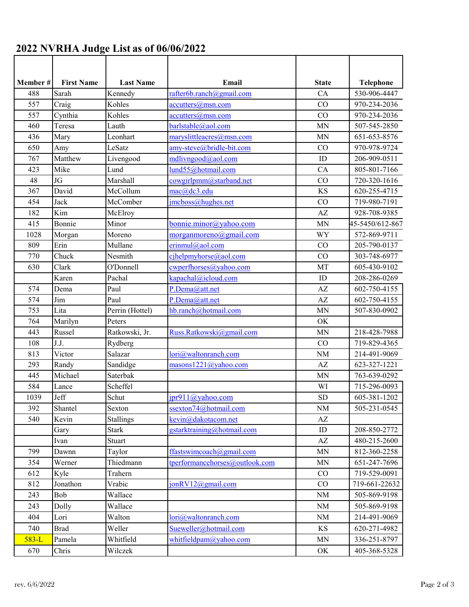| 2022 NVRHA Judge List as of 06/06/2022 |  |  |  |
|----------------------------------------|--|--|--|
|----------------------------------------|--|--|--|

| Member # | <b>First Name</b> | <b>Last Name</b> | Email                                   | <b>State</b>           | <b>Telephone</b>           |
|----------|-------------------|------------------|-----------------------------------------|------------------------|----------------------------|
| 488      | Sarah             | Kennedy          | rafter6b.random@gmail.com               | CA                     | 530-906-4447               |
| 557      | Craig             | Kohles           | $accutters(\omega_{\text{msn.com}})$    | CO                     | 970-234-2036               |
| 557      | Cynthia           | Kohles           | accutters@msn.com                       | CO                     | 970-234-2036               |
| 460      | Teresa            | Lauth            | barlstable@aol.com                      | <b>MN</b>              | 507-545-2850               |
| 436      | Mary              | Leonhart         | maryslittleacres@msn.com                | <b>MN</b>              | 651-653-8576               |
| 650      | Amy               | LeSatz           | amy-steve@bridle-bit.com                | CO                     | 970-978-9724               |
| 767      | Matthew           | Livengood        | mdlivngood@aol.com                      | ID                     | 206-909-0511               |
| 423      | Mike              | Lund             | $\overline{\text{lund55}}$ @hotmail.com | CA                     | 805-801-7166               |
| 48       | JG                | Marshall         | cowgirlpmm@starband.net                 | CO                     | 720-320-1616               |
| 367      | David             | McCollum         | mac@dc3.edu                             | <b>KS</b>              | 620-255-4715               |
| 454      | Jack              | McComber         | jmcboss@hughes.net                      | CO                     | 719-980-7191               |
| 182      | Kim               | McElroy          |                                         | $\mathbf{A}\mathbf{Z}$ | 928-708-9385               |
| 415      | Bonnie            | Minor            | bonnie.minor@yahoo.com                  | <b>MN</b>              | 45-5450/612-867            |
| 1028     | Morgan            | Moreno           | $morganmoreno(\omega)$ gmail.com        | <b>WY</b>              | 572-869-9711               |
| 809      | Erin              | Mullane          | erinmul@aol.com                         | CO                     | 205-790-0137               |
| 770      | Chuck             | Nesmith          | cihelpmyhorse@aol.com                   | CO                     | 303-748-6977               |
| 630      | Clark             | O'Donnell        | cwperfhorses@yahoo.com                  | MT                     | 605-430-9102               |
|          | Karen             | Pachal           | kapachal@icloud.com                     | ID                     | 208-286-0269               |
| 574      | Dema              | Paul             | P.Dema@att.net                          | AZ                     | $\overline{60}$ 2-750-4155 |
| 574      | Jim               | Paul             | P.Dema@att.net                          | AZ                     | 602-750-4155               |
| 753      | Lita              | Perrin (Hottel)  | hb.ranch@hotmail.com                    | <b>MN</b>              | 507-830-0902               |
| 764      | Marilyn           | Peters           |                                         | OK                     |                            |
| 443      | Russel            | Ratkowski, Jr.   | Russ.Ratkowski@gmail.com                | <b>MN</b>              | 218-428-7988               |
| 108      | J.J.              | Rydberg          |                                         | CO                     | 719-829-4365               |
| 813      | Victor            | Salazar          | lori@waltonranch.com                    | <b>NM</b>              | 214-491-9069               |
| 293      | Randy             | Sandidge         | masons1221@yahoo.com                    | $\mathbf{A}\mathbf{Z}$ | 623-327-1221               |
| 445      | Michael           | Saterbak         |                                         | MN                     | 763-639-0292               |
| 584      | Lance             | Scheffel         |                                         | WI                     | 715-296-0093               |
| 1039     | Jeff              | Schut            | $ipr911@$ yahoo.com                     | <b>SD</b>              | 605-381-1202               |
| 392      | Shantel           | Sexton           | ssexton74@hotmail.com                   | $\rm NM$               | 505-231-0545               |
| 540      | Kevin             | <b>Stallings</b> | kevin@dakotacom.net                     | AZ                     |                            |
|          | Gary              | <b>Stark</b>     | gstarktraining@hotmail.com              | $\mathbf{ID}$          | 208-850-2772               |
|          | Ivan              | Stuart           |                                         | AZ                     | 480-215-2600               |
| 799      | Dawnn             | Taylor           | ffastswimcoach@gmail.com                | <b>MN</b>              | 812-360-2258               |
| 354      | Werner            | Thiedmann        | tperformancehorses@outlook.com          | $\mbox{MN}$            | 651-247-7696               |
| 612      | Kyle              | Trahern          |                                         | CO                     | 719-529-0091               |
| 812      | Jonathon          | Vrabic           | jonRV12@gmail.com                       | $\rm CO$               | 719-661-22632              |
| 243      | Bob               | Wallace          |                                         | $\rm{NM}$              | 505-869-9198               |
| 243      | Dolly             | Wallace          |                                         | $\rm{NM}$              | 505-869-9198               |
| 404      | Lori              | Walton           | lori@waltonranch.com                    | $\rm NM$               | 214-491-9069               |
| 740      | <b>Brad</b>       | Weller           | Sueweller@hotmail.com                   | KS                     | 620-271-4982               |
| $583-L$  | Pamela            | Whitfield        | whitfieldpam@yahoo.com                  | $\mbox{MN}$            | 336-251-8797               |
|          |                   |                  |                                         |                        |                            |
| 670      | Chris             | Wilczek          |                                         | OK                     | 405-368-5328               |